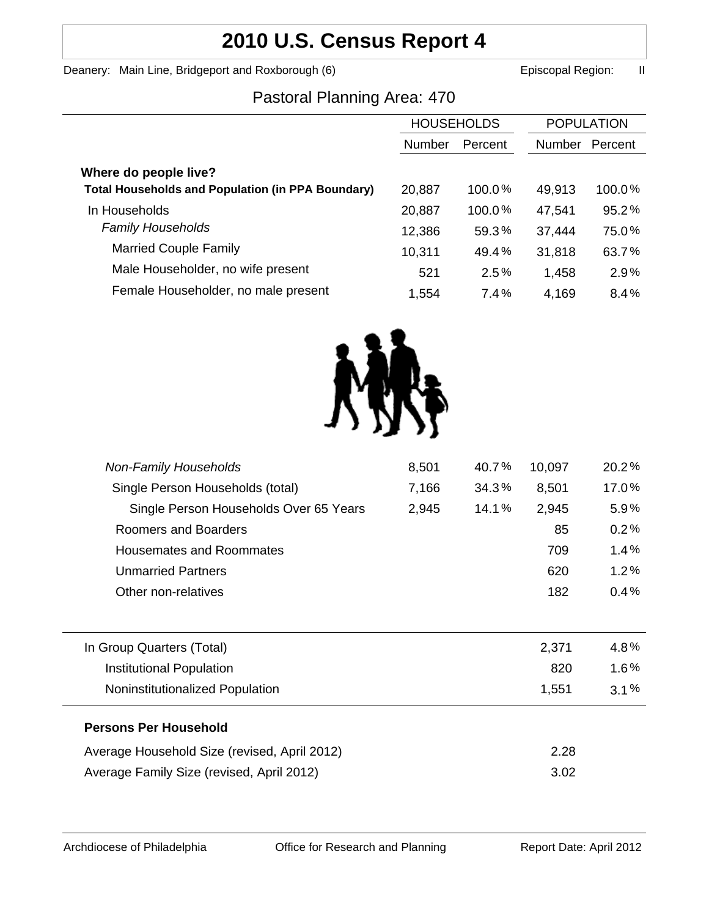# **2010 U.S. Census Report 4**

Deanery: Main Line, Bridgeport and Roxborough (6) **Example 2** Episcopal Region: II

# Pastoral Planning Area: 470

| <b>HOUSEHOLDS</b> |         | <b>POPULATION</b> |         |
|-------------------|---------|-------------------|---------|
| <b>Number</b>     | Percent | <b>Number</b>     | Percent |
|                   |         |                   |         |
| 20,887            | 100.0%  | 49,913            | 100.0%  |
| 20,887            | 100.0%  | 47,541            | 95.2%   |
| 12,386            | 59.3%   | 37,444            | 75.0%   |
| 10,311            | 49.4%   | 31,818            | 63.7%   |
| 521               | 2.5%    | 1,458             | 2.9%    |
| 1,554             | 7.4%    | 4,169             | 8.4%    |
|                   |         |                   |         |



| <b>Non-Family Households</b>                 | 8,501 | 40.7% | 10,097 | 20.2%   |
|----------------------------------------------|-------|-------|--------|---------|
| Single Person Households (total)             | 7,166 | 34.3% | 8,501  | 17.0%   |
| Single Person Households Over 65 Years       | 2,945 | 14.1% | 2,945  | 5.9%    |
| <b>Roomers and Boarders</b>                  |       |       | 85     | 0.2%    |
| Housemates and Roommates                     |       |       | 709    | $1.4\%$ |
| <b>Unmarried Partners</b>                    |       |       | 620    | 1.2%    |
| Other non-relatives                          |       |       | 182    | 0.4%    |
|                                              |       |       |        |         |
| In Group Quarters (Total)                    |       |       | 2,371  | 4.8%    |
| <b>Institutional Population</b>              |       |       | 820    | $1.6\%$ |
| Noninstitutionalized Population              |       |       | 1,551  | $3.1\%$ |
| <b>Persons Per Household</b>                 |       |       |        |         |
| Average Household Size (revised, April 2012) |       |       | 2.28   |         |
| Average Family Size (revised, April 2012)    |       |       | 3.02   |         |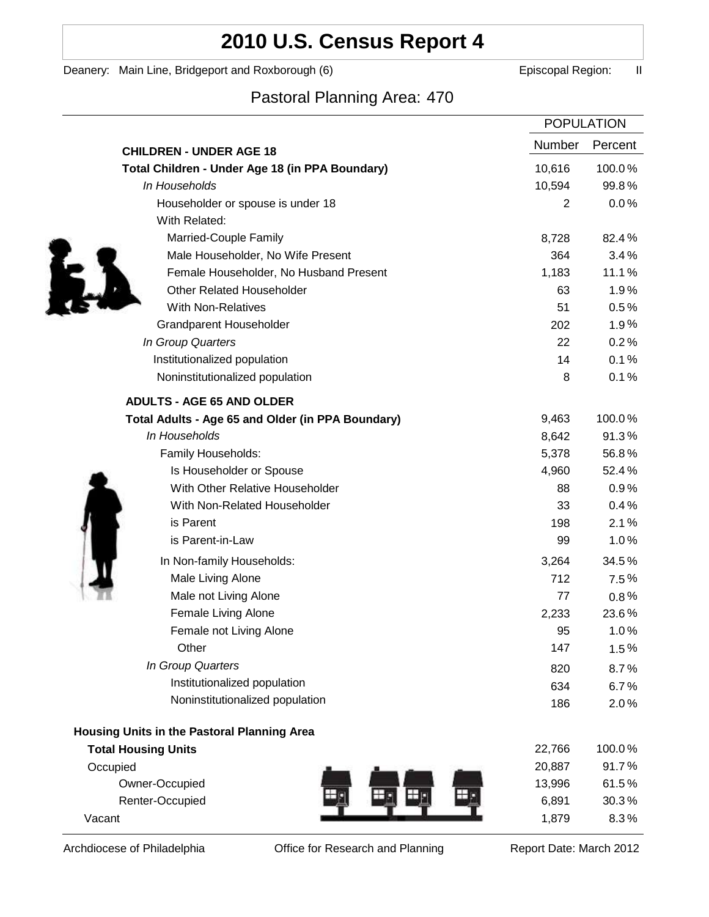# **2010 U.S. Census Report 4**

Deanery: Main Line, Bridgeport and Roxborough (6) **Example 2** Episcopal Region: II

# Pastoral Planning Area: 470

|                                                   | <b>POPULATION</b> |         |
|---------------------------------------------------|-------------------|---------|
| <b>CHILDREN - UNDER AGE 18</b>                    | <b>Number</b>     | Percent |
| Total Children - Under Age 18 (in PPA Boundary)   | 10,616            | 100.0%  |
| In Households                                     | 10,594            | 99.8%   |
| Householder or spouse is under 18                 | 2                 | 0.0%    |
| With Related:                                     |                   |         |
| Married-Couple Family                             | 8,728             | 82.4%   |
| Male Householder, No Wife Present                 | 364               | 3.4%    |
| Female Householder, No Husband Present            | 1,183             | 11.1%   |
| <b>Other Related Householder</b>                  | 63                | 1.9%    |
| <b>With Non-Relatives</b>                         | 51                | 0.5%    |
| <b>Grandparent Householder</b>                    | 202               | 1.9%    |
| In Group Quarters                                 | 22                | 0.2%    |
| Institutionalized population                      | 14                | 0.1%    |
| Noninstitutionalized population                   | 8                 | 0.1%    |
| <b>ADULTS - AGE 65 AND OLDER</b>                  |                   |         |
| Total Adults - Age 65 and Older (in PPA Boundary) | 9,463             | 100.0%  |
| In Households                                     | 8,642             | 91.3%   |
| Family Households:                                | 5,378             | 56.8%   |
| Is Householder or Spouse                          | 4,960             | 52.4%   |
| With Other Relative Householder                   | 88                | 0.9%    |
| With Non-Related Householder                      | 33                | 0.4%    |
| is Parent                                         | 198               | 2.1%    |
| is Parent-in-Law                                  | 99                | 1.0%    |
| In Non-family Households:                         | 3,264             | 34.5%   |
| Male Living Alone                                 | 712               | 7.5%    |
| Male not Living Alone                             | 77                | $0.8\%$ |
| Female Living Alone                               | 2,233             | 23.6%   |
| Female not Living Alone                           | 95                | 1.0%    |
| Other                                             | 147               | 1.5%    |
| In Group Quarters                                 | 820               | 8.7%    |
| Institutionalized population                      | 634               | 6.7%    |
| Noninstitutionalized population                   | 186               | 2.0%    |
| Housing Units in the Pastoral Planning Area       |                   |         |
| <b>Total Housing Units</b>                        | 22,766            | 100.0%  |
| Occupied                                          | 20,887            | 91.7%   |
| Owner-Occupied                                    | 13,996            | 61.5%   |
| Renter-Occupied                                   | 6,891             | 30.3%   |
| Vacant                                            | 1,879             | 8.3%    |

Archdiocese of Philadelphia **Office for Research and Planning** Report Date: March 2012